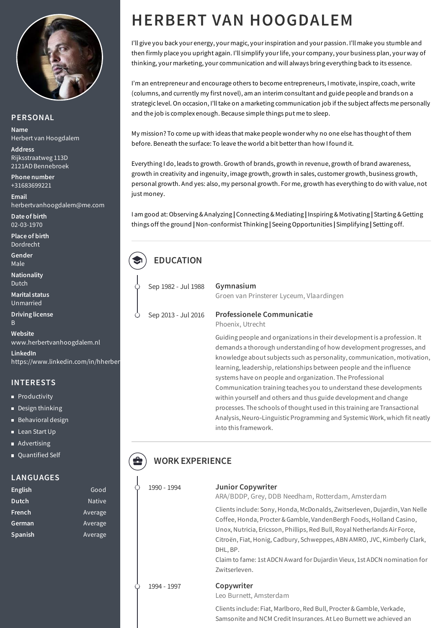

#### **PERSONAL**

**Name** Herbert van Hoogdalem

**Address** Rijksstraatweg 113D 2121AD Bennebroek

**Phone number** +31683699221

**Email** herbertvanhoogdalem@me.com

**Date of birth** 02-03-1970

**Place of birth** Dordrecht

**Gender** Male

**Nationality** Dutch

**Marital status** Unmarried

**Driving license** B

**Website** www.herbertvanhoogdalem.nl

**LinkedIn** https://www.linkedin.com/in/hherber

#### **INTERESTS**

- **Productivity**
- Design thinking
- **Behavioral design**
- Lean Start Up
- **Advertising**
- Ouantified Self

#### **LANGUAGES**

| English        | Good          |
|----------------|---------------|
| <b>Dutch</b>   | <b>Native</b> |
| <u>French</u>  | Average       |
| German         | Average       |
| <b>Spanish</b> | Average       |

# **HERBERT VAN HOOGDALEM**

I'll give you back your energy, your magic, yourinspiration and your passion. I'll make you stumble and then firmly place you upright again. I'll simplify your life, your company, your business plan, your way of thinking, your marketing, your communication and will always bring everything back to its essence.

I'm an entrepreneur and encourage others to become entrepreneurs, I motivate, inspire, coach, write (columns, and currently my first novel), am an interim consultant and guide people and brands on a strategic level. On occasion, I'lltake on a marketing communication job if the subject affects me personally and the job is complex enough. Because simple things put me to sleep.

My mission? To come up with ideas that make people wonder why no one else has thought of them before. Beneath the surface: To leave the world a bit betterthan how I found it.

Everything I do, leads to growth. Growth of brands, growth in revenue, growth of brand awareness, growth in creativity and ingenuity, image growth, growth in sales, customer growth, business growth, personal growth. And yes: also, my personal growth. For me, growth has everything to do with value, not just money.

I am good at: Observing &Analyzing **|** Connecting & Mediating **|** Inspiring & Motivating **|** Starting &Getting things off the ground **|**Non-conformist Thinking **|** Seeing Opportunities **|** Simplifying **|** Setting off.

# **EDUCATION**

Sep 1982 - Jul 1988 Sep 2013 - Jul 2016

# Groen van Prinsterer Lyceum, Vlaardingen

#### **Professionele Communicatie**

Phoenix, Utrecht

**Gymnasium**

Guiding people and organizations in their developmentis a profession. It demands a thorough understanding of how development progresses, and knowledge about subjects such as personality, communication, motivation, learning, leadership, relationships between people and the influence systems have on people and organization. The Professional Communication training teaches you to understand these developments within yourself and others and thus guide development and change processes. The schools of thought used in this training are Transactional Analysis, Neuro-Linguistic Programming and Systemic Work, which fit neatly into this framework.

## **WORK EXPERIENCE**

| 1990 - 1994 | <b>Junior Copywriter</b><br>ARA/BDDP, Grey, DDB Needham, Rotterdam, Amsterdam                                                                                                                                                                                                                                                                                                                                         |
|-------------|-----------------------------------------------------------------------------------------------------------------------------------------------------------------------------------------------------------------------------------------------------------------------------------------------------------------------------------------------------------------------------------------------------------------------|
|             | Clients include: Sony, Honda, McDonalds, Zwitserleven, Dujardin, Van Nelle<br>Coffee, Honda, Procter & Gamble, VandenBergh Foods, Holland Casino,<br>Unox, Nutricia, Ericsson, Phillips, Red Bull, Royal Netherlands Air Force,<br>Citroën, Fiat, Honig, Cadbury, Schweppes, ABN AMRO, JVC, Kimberly Clark,<br>DHL, BP.<br>Claim to fame: 1st ADCN Award for Dujardin Vieux, 1st ADCN nomination for<br>Zwitserleven. |
| 1994 - 1997 | Copywriter<br>Leo Burnett, Amsterdam                                                                                                                                                                                                                                                                                                                                                                                  |
|             | Clients include: Fiat, Marlboro, Red Bull, Procter & Gamble, Verkade,<br>Samsonite and NCM Credit Insurances. At Leo Burnett we achieved an                                                                                                                                                                                                                                                                           |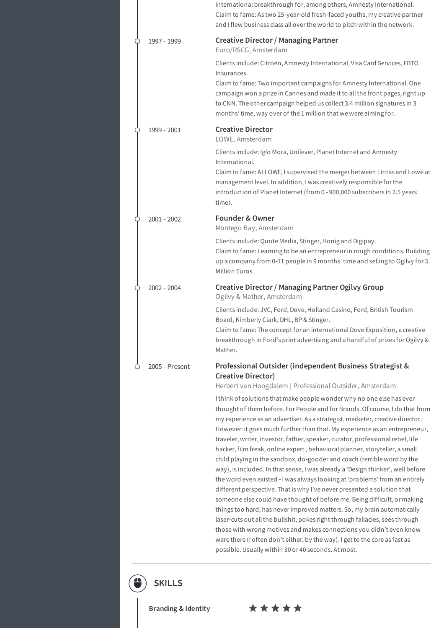|                | international breakthrough for, among others, Amnesty International.<br>Claim to fame: As two 25-year-old fresh-faced youths, my creative partner<br>and I flew business class all over the world to pitch within the network.                                                                                                                                                                                                                                                                                                                                                                                                                                                                                                                                                                                                                                                                                                                                                                                                                                                                                                                                                                                                                                    |
|----------------|-------------------------------------------------------------------------------------------------------------------------------------------------------------------------------------------------------------------------------------------------------------------------------------------------------------------------------------------------------------------------------------------------------------------------------------------------------------------------------------------------------------------------------------------------------------------------------------------------------------------------------------------------------------------------------------------------------------------------------------------------------------------------------------------------------------------------------------------------------------------------------------------------------------------------------------------------------------------------------------------------------------------------------------------------------------------------------------------------------------------------------------------------------------------------------------------------------------------------------------------------------------------|
| 1997 - 1999    | <b>Creative Director / Managing Partner</b><br>Euro/RSCG, Amsterdam                                                                                                                                                                                                                                                                                                                                                                                                                                                                                                                                                                                                                                                                                                                                                                                                                                                                                                                                                                                                                                                                                                                                                                                               |
|                | Clients include: Citroën, Amnesty International, Visa Card Services, FBTO<br>Insurances.<br>Claim to fame: Two important campaigns for Amnesty International. One<br>campaign won a prize in Cannes and made it to all the front pages, right up<br>to CNN. The other campaign helped us collect 3.4 million signatures in 3<br>months' time, way over of the 1 million that we were aiming for.                                                                                                                                                                                                                                                                                                                                                                                                                                                                                                                                                                                                                                                                                                                                                                                                                                                                  |
| 1999 - 2001    | <b>Creative Director</b><br>LOWE, Amsterdam                                                                                                                                                                                                                                                                                                                                                                                                                                                                                                                                                                                                                                                                                                                                                                                                                                                                                                                                                                                                                                                                                                                                                                                                                       |
|                | Clients include: Iglo Mora, Unilever, Planet Internet and Amnesty<br>International.<br>Claim to fame: At LOWE, I supervised the merger between Lintas and Lowe at<br>management level. In addition, I was creatively responsible for the<br>introduction of Planet Internet (from 0 - 900,000 subscribers in 2.5 years'<br>time).                                                                                                                                                                                                                                                                                                                                                                                                                                                                                                                                                                                                                                                                                                                                                                                                                                                                                                                                 |
| $2001 - 2002$  | <b>Founder &amp; Owner</b><br>Montego Bay, Amsterdam                                                                                                                                                                                                                                                                                                                                                                                                                                                                                                                                                                                                                                                                                                                                                                                                                                                                                                                                                                                                                                                                                                                                                                                                              |
|                | Clients include: Quote Media, Stinger, Honig and Digipay.<br>Claim to fame: Learning to be an entrepreneur in rough conditions. Building<br>up a company from 0-11 people in 9 months' time and selling to Ogilvy for 3<br>Million Euros.                                                                                                                                                                                                                                                                                                                                                                                                                                                                                                                                                                                                                                                                                                                                                                                                                                                                                                                                                                                                                         |
| 2002 - 2004    | Creative Director / Managing Partner Ogilvy Group<br>Ogilvy & Mather, Amsterdam                                                                                                                                                                                                                                                                                                                                                                                                                                                                                                                                                                                                                                                                                                                                                                                                                                                                                                                                                                                                                                                                                                                                                                                   |
|                | Clients include: JVC, Ford, Dove, Holland Casino, Ford, British Tourism<br>Board, Kimberly Clark, DHL, BP & Stinger.<br>Claim to fame: The concept for an international Dove Exposition, a creative<br>breakthrough in Ford's print advertising and a handful of prizes for Ogilvy &<br>Mather.                                                                                                                                                                                                                                                                                                                                                                                                                                                                                                                                                                                                                                                                                                                                                                                                                                                                                                                                                                   |
| 2005 - Present | Professional Outsider (independent Business Strategist &<br><b>Creative Director)</b><br>Herbert van Hoogdalem   Professional Outsider, Amsterdam                                                                                                                                                                                                                                                                                                                                                                                                                                                                                                                                                                                                                                                                                                                                                                                                                                                                                                                                                                                                                                                                                                                 |
|                | I think of solutions that make people wonder why no one else has ever<br>thought of them before. For People and for Brands. Of course, I do that from<br>my experience as an advertiser. As a strategist, marketer, creative director.<br>However: it goes much further than that. My experience as an entrepreneur,<br>traveler, writer, investor, father, speaker, curator, professional rebel, life<br>hacker, film freak, online expert, behavioral planner, storyteller, a small<br>child playing in the sandbox, do-gooder and coach (terrible word by the<br>way), is included. In that sense, I was already a 'Design thinker', well before<br>the word even existed - I was always looking at 'problems' from an entirely<br>different perspective. That is why I've never presented a solution that<br>someone else could have thought of before me. Being difficult, or making<br>things too hard, has never improved matters. So, my brain automatically<br>laser-cuts out all the bullshit, pokes right through fallacies, sees through<br>those with wrong motives and makes connections you didn't even know<br>were there (I often don't either, by the way). I get to the core as fast as<br>possible. Usually within 30 or 40 seconds. At most. |